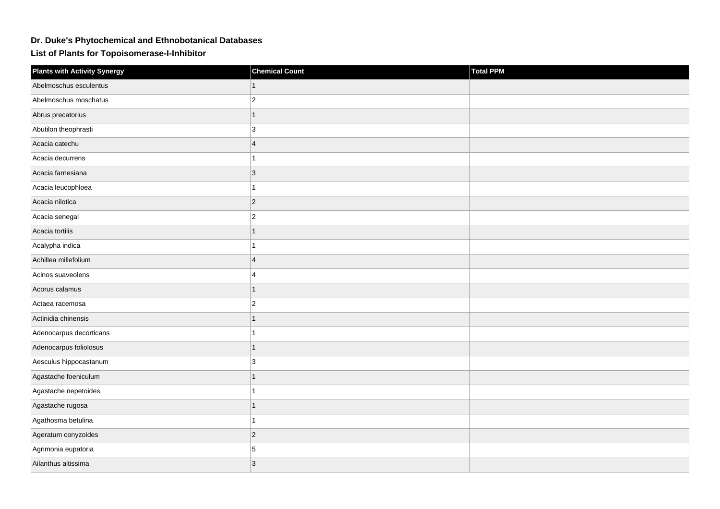## **Dr. Duke's Phytochemical and Ethnobotanical Databases**

**List of Plants for Topoisomerase-I-Inhibitor**

| <b>Plants with Activity Synergy</b> | <b>Chemical Count</b>    | Total PPM |
|-------------------------------------|--------------------------|-----------|
| Abelmoschus esculentus              |                          |           |
| Abelmoschus moschatus               | $\overline{c}$           |           |
| Abrus precatorius                   | 1                        |           |
| Abutilon theophrasti                | 3                        |           |
| Acacia catechu                      | $\overline{4}$           |           |
| Acacia decurrens                    |                          |           |
| Acacia farnesiana                   | 3                        |           |
| Acacia leucophloea                  |                          |           |
| Acacia nilotica                     | $\overline{2}$           |           |
| Acacia senegal                      | $\overline{c}$           |           |
| Acacia tortilis                     | 1                        |           |
| Acalypha indica                     |                          |           |
| Achillea millefolium                | $\boldsymbol{\Delta}$    |           |
| Acinos suaveolens                   | 4                        |           |
| Acorus calamus                      | $\overline{\phantom{a}}$ |           |
| Actaea racemosa                     | $\overline{c}$           |           |
| Actinidia chinensis                 | 1                        |           |
| Adenocarpus decorticans             |                          |           |
| Adenocarpus foliolosus              | 1                        |           |
| Aesculus hippocastanum              | 3                        |           |
| Agastache foeniculum                |                          |           |
| Agastache nepetoides                | 1                        |           |
| Agastache rugosa                    | 1                        |           |
| Agathosma betulina                  |                          |           |
| Ageratum conyzoides                 | $\overline{2}$           |           |
| Agrimonia eupatoria                 | 5                        |           |
| Ailanthus altissima                 | 3                        |           |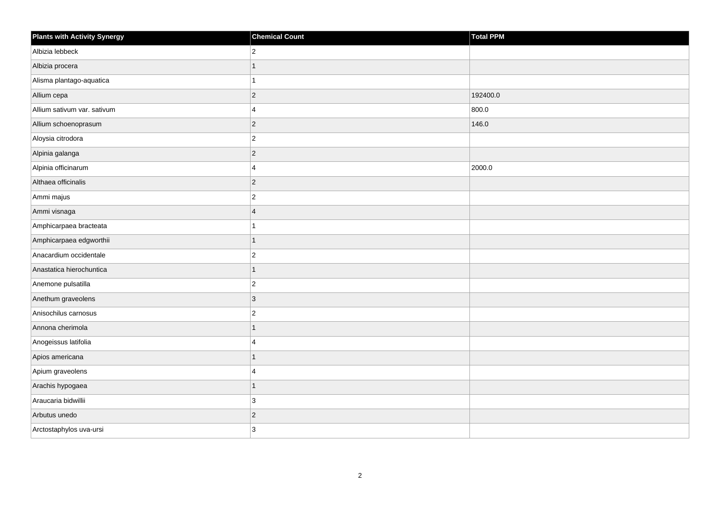| <b>Plants with Activity Synergy</b> | <b>Chemical Count</b> | Total PPM |
|-------------------------------------|-----------------------|-----------|
| Albizia lebbeck                     | $\overline{2}$        |           |
| Albizia procera                     | $\mathbf{1}$          |           |
| Alisma plantago-aquatica            | $\mathbf{1}$          |           |
| Allium cepa                         | $ 2\rangle$           | 192400.0  |
| Allium sativum var. sativum         | 4                     | 800.0     |
| Allium schoenoprasum                | $ 2\rangle$           | 146.0     |
| Aloysia citrodora                   | $\vert$ 2             |           |
| Alpinia galanga                     | $ 2\rangle$           |           |
| Alpinia officinarum                 | $\overline{4}$        | 2000.0    |
| Althaea officinalis                 | $ 2\rangle$           |           |
| Ammi majus                          | $ 2\rangle$           |           |
| Ammi visnaga                        | $\overline{4}$        |           |
| Amphicarpaea bracteata              | $\overline{1}$        |           |
| Amphicarpaea edgworthii             | $\mathbf{1}$          |           |
| Anacardium occidentale              | $ 2\rangle$           |           |
| Anastatica hierochuntica            | $\mathbf{1}$          |           |
| Anemone pulsatilla                  | $ 2\rangle$           |           |
| Anethum graveolens                  | $ 3\rangle$           |           |
| Anisochilus carnosus                | $ 2\rangle$           |           |
| Annona cherimola                    | 1                     |           |
| Anogeissus latifolia                | $\overline{4}$        |           |
| Apios americana                     | 1                     |           |
| Apium graveolens                    | 4                     |           |
| Arachis hypogaea                    | $\mathbf{1}$          |           |
| Araucaria bidwillii                 | 3                     |           |
| Arbutus unedo                       | $\vert$ 2             |           |
| Arctostaphylos uva-ursi             | 3                     |           |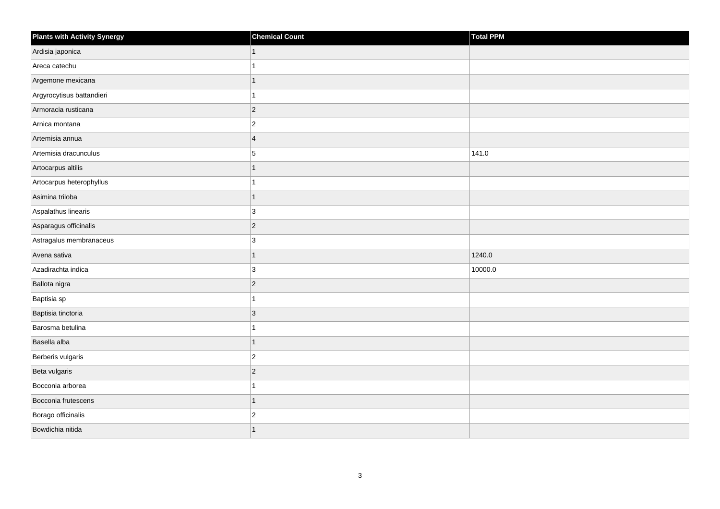| Plants with Activity Synergy | <b>Chemical Count</b> | Total PPM |
|------------------------------|-----------------------|-----------|
| Ardisia japonica             | $\mathbf{1}$          |           |
| Areca catechu                | 1                     |           |
| Argemone mexicana            | $\mathbf{1}$          |           |
| Argyrocytisus battandieri    | $\mathbf{1}$          |           |
| Armoracia rusticana          | $ 2\rangle$           |           |
| Arnica montana               | $\overline{2}$        |           |
| Artemisia annua              | $\overline{4}$        |           |
| Artemisia dracunculus        | 5                     | 141.0     |
| Artocarpus altilis           | $\mathbf{1}$          |           |
| Artocarpus heterophyllus     | $\mathbf{1}$          |           |
| Asimina triloba              | $\mathbf{1}$          |           |
| Aspalathus linearis          | 3                     |           |
| Asparagus officinalis        | $ 2\rangle$           |           |
| Astragalus membranaceus      | 3                     |           |
| Avena sativa                 | $\overline{1}$        | 1240.0    |
| Azadirachta indica           | 3                     | 10000.0   |
| Ballota nigra                | $ 2\rangle$           |           |
| Baptisia sp                  | 1                     |           |
| Baptisia tinctoria           | $ 3\rangle$           |           |
| Barosma betulina             | 1                     |           |
| Basella alba                 | $\mathbf{1}$          |           |
| Berberis vulgaris            | $ 2\rangle$           |           |
| Beta vulgaris                | $ 2\rangle$           |           |
| Bocconia arborea             | 1                     |           |
| Bocconia frutescens          | $\mathbf{1}$          |           |
| Borago officinalis           | $\vert$ 2             |           |
| Bowdichia nitida             | 1                     |           |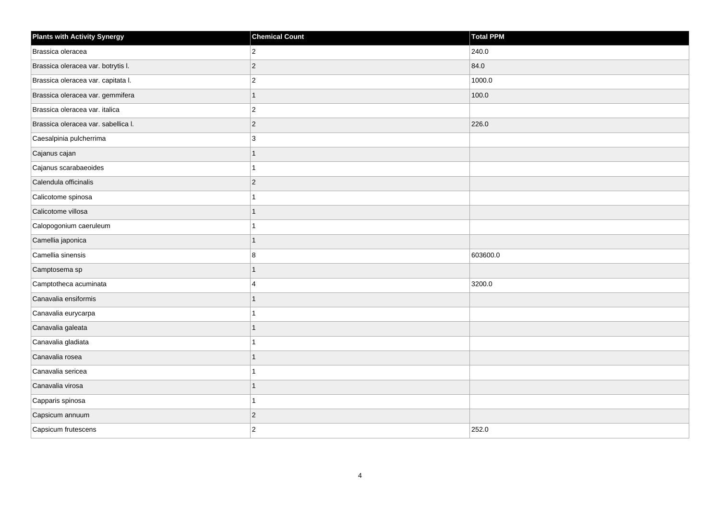| <b>Plants with Activity Synergy</b> | <b>Chemical Count</b>   | Total PPM |
|-------------------------------------|-------------------------|-----------|
| Brassica oleracea                   | $\overline{2}$          | 240.0     |
| Brassica oleracea var. botrytis I.  | $\overline{c}$          | 84.0      |
| Brassica oleracea var. capitata I.  | $\overline{c}$          | 1000.0    |
| Brassica oleracea var. gemmifera    | $\mathbf{1}$            | 100.0     |
| Brassica oleracea var. italica      | $\overline{c}$          |           |
| Brassica oleracea var. sabellica I. | $\vert$ 2               | 226.0     |
| Caesalpinia pulcherrima             | 3                       |           |
| Cajanus cajan                       | $\mathbf{1}$            |           |
| Cajanus scarabaeoides               | $\mathbf{1}$            |           |
| Calendula officinalis               | $\vert$ 2               |           |
| Calicotome spinosa                  | 1                       |           |
| Calicotome villosa                  | $\mathbf{1}$            |           |
| Calopogonium caeruleum              | $\mathbf{1}$            |           |
| Camellia japonica                   | $\mathbf{1}$            |           |
| Camellia sinensis                   | 8                       | 603600.0  |
| Camptosema sp                       | $\mathbf{1}$            |           |
| Camptotheca acuminata               | $\overline{\mathbf{A}}$ | 3200.0    |
| Canavalia ensiformis                | $\mathbf{1}$            |           |
| Canavalia eurycarpa                 | $\mathbf{1}$            |           |
| Canavalia galeata                   | $\overline{1}$          |           |
| Canavalia gladiata                  | $\mathbf{1}$            |           |
| Canavalia rosea                     | $\mathbf{1}$            |           |
| Canavalia sericea                   | 1                       |           |
| Canavalia virosa                    | $\mathbf{1}$            |           |
| Capparis spinosa                    | $\mathbf{1}$            |           |
| Capsicum annuum                     | $\overline{c}$          |           |
| Capsicum frutescens                 | $\overline{2}$          | 252.0     |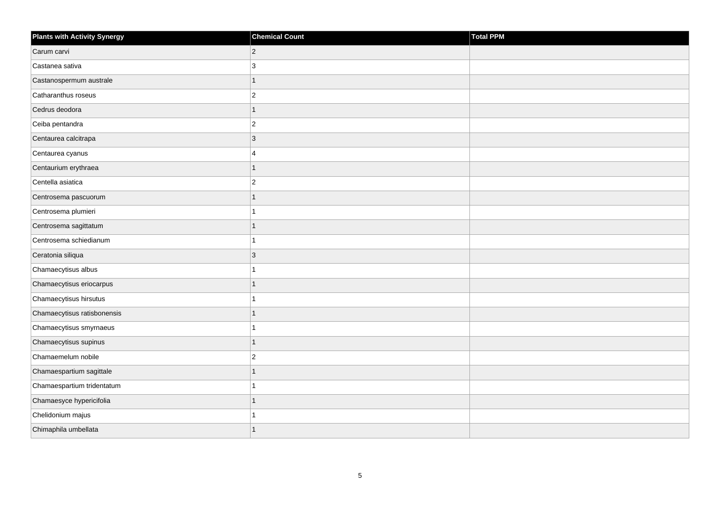| <b>Plants with Activity Synergy</b> | <b>Chemical Count</b>   | <b>Total PPM</b> |
|-------------------------------------|-------------------------|------------------|
| Carum carvi                         | $\overline{2}$          |                  |
| Castanea sativa                     | 3                       |                  |
| Castanospermum australe             | 1                       |                  |
| Catharanthus roseus                 | $\overline{2}$          |                  |
| Cedrus deodora                      |                         |                  |
| Ceiba pentandra                     | $\overline{c}$          |                  |
| Centaurea calcitrapa                | 3                       |                  |
| Centaurea cyanus                    | $\overline{\mathbf{4}}$ |                  |
| Centaurium erythraea                | 1                       |                  |
| Centella asiatica                   | $\overline{a}$          |                  |
| Centrosema pascuorum                |                         |                  |
| Centrosema plumieri                 |                         |                  |
| Centrosema sagittatum               | 1                       |                  |
| Centrosema schiedianum              |                         |                  |
| Ceratonia siliqua                   | 3                       |                  |
| Chamaecytisus albus                 |                         |                  |
| Chamaecytisus eriocarpus            |                         |                  |
| Chamaecytisus hirsutus              |                         |                  |
| Chamaecytisus ratisbonensis         | 1                       |                  |
| Chamaecytisus smyrnaeus             |                         |                  |
| Chamaecytisus supinus               |                         |                  |
| Chamaemelum nobile                  | $\overline{2}$          |                  |
| Chamaespartium sagittale            |                         |                  |
| Chamaespartium tridentatum          |                         |                  |
| Chamaesyce hypericifolia            | 1                       |                  |
| Chelidonium majus                   |                         |                  |
| Chimaphila umbellata                |                         |                  |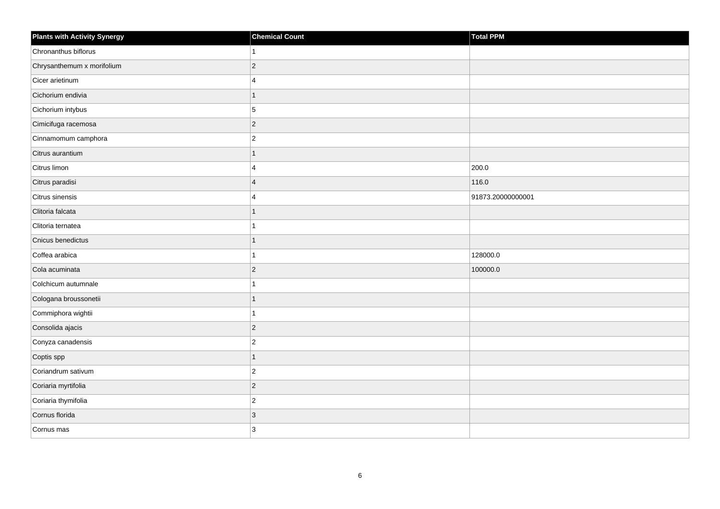| <b>Plants with Activity Synergy</b> | <b>Chemical Count</b> | Total PPM         |
|-------------------------------------|-----------------------|-------------------|
| Chronanthus biflorus                |                       |                   |
| Chrysanthemum x morifolium          | $\overline{2}$        |                   |
| Cicer arietinum                     | 4                     |                   |
| Cichorium endivia                   | 1                     |                   |
| Cichorium intybus                   | 5                     |                   |
| Cimicifuga racemosa                 | $\overline{2}$        |                   |
| Cinnamomum camphora                 | $\overline{2}$        |                   |
| Citrus aurantium                    |                       |                   |
| Citrus limon                        | 4                     | 200.0             |
| Citrus paradisi                     | $\overline{4}$        | 116.0             |
| Citrus sinensis                     | $\boldsymbol{\Delta}$ | 91873.20000000001 |
| Clitoria falcata                    |                       |                   |
| Clitoria ternatea                   |                       |                   |
| Cnicus benedictus                   | 1                     |                   |
| Coffea arabica                      |                       | 128000.0          |
| Cola acuminata                      | $\overline{2}$        | 100000.0          |
| Colchicum autumnale                 |                       |                   |
| Cologana broussonetii               |                       |                   |
| Commiphora wightii                  | 1                     |                   |
| Consolida ajacis                    | $\overline{2}$        |                   |
| Conyza canadensis                   | $\overline{2}$        |                   |
| Coptis spp                          | $\overline{1}$        |                   |
| Coriandrum sativum                  | $\overline{2}$        |                   |
| Coriaria myrtifolia                 | $\overline{2}$        |                   |
| Coriaria thymifolia                 | $\overline{c}$        |                   |
| Cornus florida                      | 3                     |                   |
| Cornus mas                          | 3                     |                   |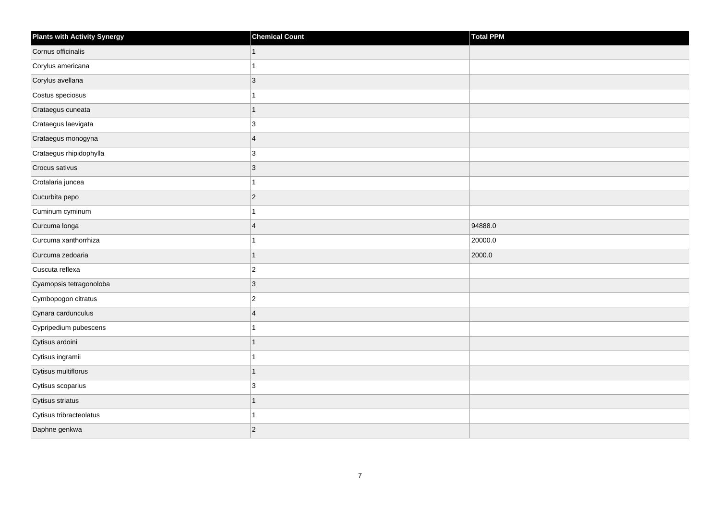| <b>Plants with Activity Synergy</b> | <b>Chemical Count</b>   | Total PPM |
|-------------------------------------|-------------------------|-----------|
| Cornus officinalis                  |                         |           |
| Corylus americana                   |                         |           |
| Corylus avellana                    | $\overline{3}$          |           |
| Costus speciosus                    |                         |           |
| Crataegus cuneata                   | 1                       |           |
| Crataegus laevigata                 | 3                       |           |
| Crataegus monogyna                  | $\overline{4}$          |           |
| Crataegus rhipidophylla             | 3                       |           |
| Crocus sativus                      | 3                       |           |
| Crotalaria juncea                   |                         |           |
| Cucurbita pepo                      | $\overline{2}$          |           |
| Cuminum cyminum                     |                         |           |
| Curcuma longa                       | $\overline{\mathbf{A}}$ | 94888.0   |
| Curcuma xanthorrhiza                |                         | 20000.0   |
| Curcuma zedoaria                    | 1                       | 2000.0    |
| Cuscuta reflexa                     | $\overline{c}$          |           |
| Cyamopsis tetragonoloba             | 3                       |           |
| Cymbopogon citratus                 | $\overline{c}$          |           |
| Cynara cardunculus                  | $\overline{4}$          |           |
| Cypripedium pubescens               |                         |           |
| Cytisus ardoini                     |                         |           |
| Cytisus ingramii                    |                         |           |
| Cytisus multiflorus                 | 1                       |           |
| Cytisus scoparius                   | 3                       |           |
| Cytisus striatus                    | 1                       |           |
| Cytisus tribracteolatus             |                         |           |
| Daphne genkwa                       | $\overline{2}$          |           |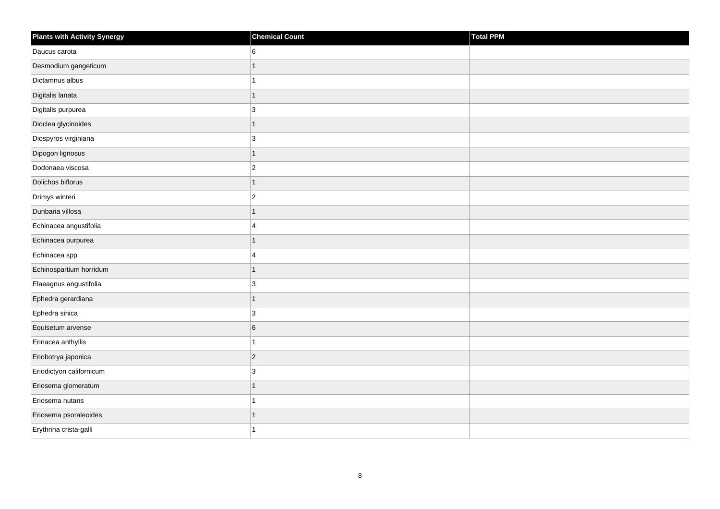| <b>Plants with Activity Synergy</b> | <b>Chemical Count</b> | Total PPM |
|-------------------------------------|-----------------------|-----------|
| Daucus carota                       | 6                     |           |
| Desmodium gangeticum                | $\overline{1}$        |           |
| Dictamnus albus                     | 1                     |           |
| Digitalis lanata                    | $\overline{1}$        |           |
| Digitalis purpurea                  | 3                     |           |
| Dioclea glycinoides                 | $\overline{1}$        |           |
| Diospyros virginiana                | 3                     |           |
| Dipogon lignosus                    | $\overline{1}$        |           |
| Dodonaea viscosa                    | $\overline{c}$        |           |
| Dolichos biflorus                   | $\overline{1}$        |           |
| Drimys winteri                      | $\overline{c}$        |           |
| Dunbaria villosa                    | $\overline{1}$        |           |
| Echinacea angustifolia              | 4                     |           |
| Echinacea purpurea                  | $\overline{1}$        |           |
| Echinacea spp                       | 4                     |           |
| Echinospartium horridum             | $\overline{1}$        |           |
| Elaeagnus angustifolia              | 3                     |           |
| Ephedra gerardiana                  | $\overline{1}$        |           |
| Ephedra sinica                      | $\mathbf{3}$          |           |
| Equisetum arvense                   | 6                     |           |
| Erinacea anthyllis                  | 1                     |           |
| Eriobotrya japonica                 | $\overline{c}$        |           |
| Eriodictyon californicum            | 3                     |           |
| Eriosema glomeratum                 | $\overline{1}$        |           |
| Eriosema nutans                     | 1                     |           |
| Eriosema psoraleoides               | 1                     |           |
| Erythrina crista-galli              | 1                     |           |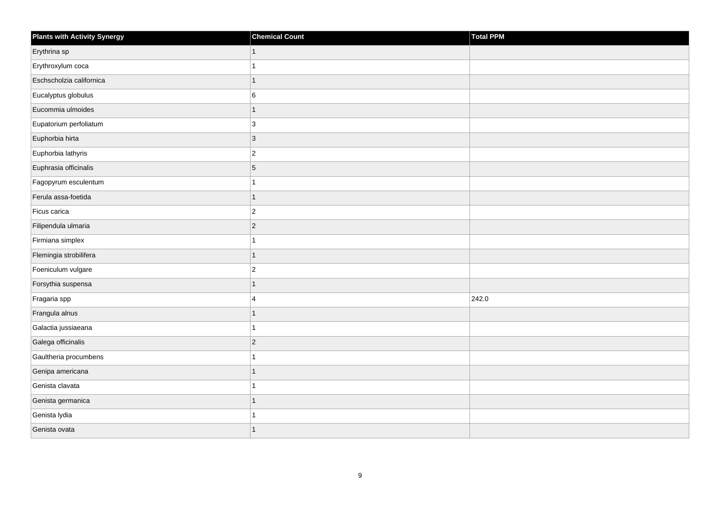| <b>Plants with Activity Synergy</b> | <b>Chemical Count</b> | Total PPM |
|-------------------------------------|-----------------------|-----------|
| Erythrina sp                        |                       |           |
| Erythroxylum coca                   |                       |           |
| Eschscholzia californica            | 1                     |           |
| Eucalyptus globulus                 | 6                     |           |
| Eucommia ulmoides                   | 1                     |           |
| Eupatorium perfoliatum              | 3                     |           |
| Euphorbia hirta                     | $\overline{3}$        |           |
| Euphorbia lathyris                  | $\overline{2}$        |           |
| Euphrasia officinalis               | 5                     |           |
| Fagopyrum esculentum                | 1                     |           |
| Ferula assa-foetida                 | 1                     |           |
| Ficus carica                        | $\overline{2}$        |           |
| Filipendula ulmaria                 | $\overline{2}$        |           |
| Firmiana simplex                    |                       |           |
| Flemingia strobilifera              | $\overline{1}$        |           |
| Foeniculum vulgare                  | $\overline{c}$        |           |
| Forsythia suspensa                  |                       |           |
| Fragaria spp                        | 4                     | 242.0     |
| Frangula alnus                      | 1                     |           |
| Galactia jussiaeana                 |                       |           |
| Galega officinalis                  | $\overline{c}$        |           |
| Gaultheria procumbens               | 1                     |           |
| Genipa americana                    |                       |           |
| Genista clavata                     |                       |           |
| Genista germanica                   | 1                     |           |
| Genista lydia                       |                       |           |
| Genista ovata                       |                       |           |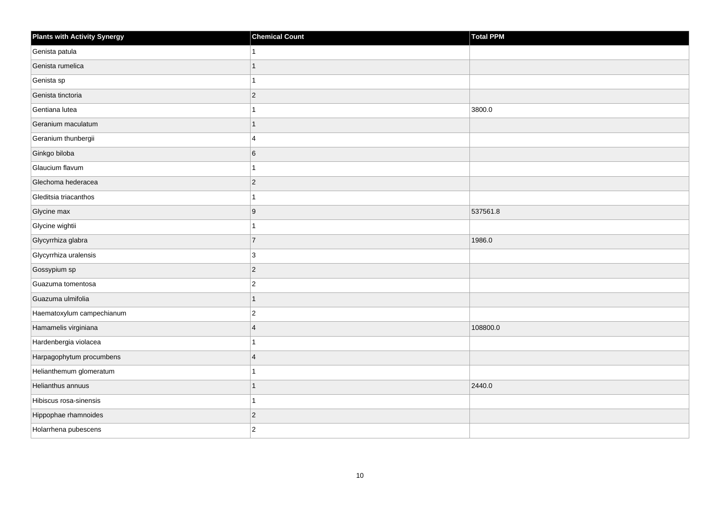| <b>Plants with Activity Synergy</b> | <b>Chemical Count</b> | Total PPM |
|-------------------------------------|-----------------------|-----------|
| Genista patula                      | 1                     |           |
| Genista rumelica                    | 1                     |           |
| Genista sp                          | 1                     |           |
| Genista tinctoria                   | $ 2\rangle$           |           |
| Gentiana lutea                      | 1                     | 3800.0    |
| Geranium maculatum                  | 1                     |           |
| Geranium thunbergii                 | $\overline{4}$        |           |
| Ginkgo biloba                       | 6                     |           |
| Glaucium flavum                     | $\mathbf{1}$          |           |
| Glechoma hederacea                  | $ 2\rangle$           |           |
| Gleditsia triacanthos               | 1                     |           |
| Glycine max                         | 9                     | 537561.8  |
| Glycine wightii                     | $\mathbf{1}$          |           |
| Glycyrrhiza glabra                  | $\overline{7}$        | 1986.0    |
| Glycyrrhiza uralensis               | 3                     |           |
| Gossypium sp                        | $ 2\rangle$           |           |
| Guazuma tomentosa                   | $ 2\rangle$           |           |
| Guazuma ulmifolia                   | 1                     |           |
| Haematoxylum campechianum           | $ 2\rangle$           |           |
| Hamamelis virginiana                | $\overline{4}$        | 108800.0  |
| Hardenbergia violacea               | 1                     |           |
| Harpagophytum procumbens            | $\overline{4}$        |           |
| Helianthemum glomeratum             | 1                     |           |
| Helianthus annuus                   | 1                     | 2440.0    |
| Hibiscus rosa-sinensis              | 1                     |           |
| Hippophae rhamnoides                | $ 2\rangle$           |           |
| Holarrhena pubescens                | $ 2\rangle$           |           |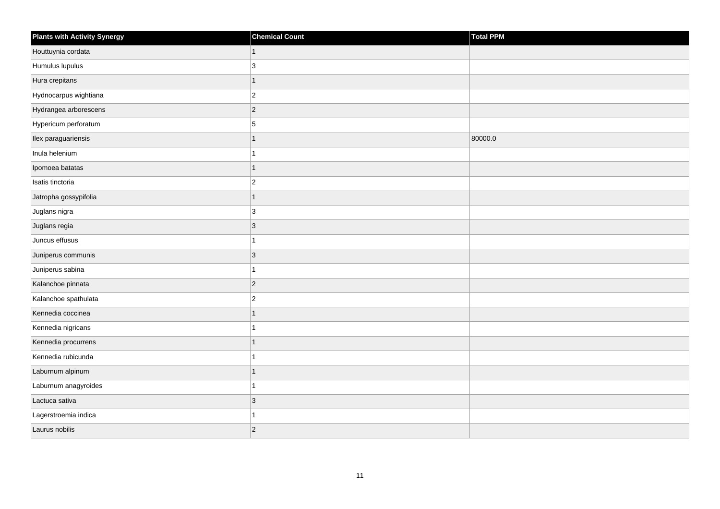| Plants with Activity Synergy | <b>Chemical Count</b> | Total PPM |
|------------------------------|-----------------------|-----------|
| Houttuynia cordata           | $\mathbf{1}$          |           |
| Humulus lupulus              | 3                     |           |
| Hura crepitans               | $\overline{1}$        |           |
| Hydnocarpus wightiana        | $ 2\rangle$           |           |
| Hydrangea arborescens        | $ 2\rangle$           |           |
| Hypericum perforatum         | $\overline{5}$        |           |
| Ilex paraguariensis          | 1                     | 80000.0   |
| Inula helenium               | 1                     |           |
| Ipomoea batatas              | $\overline{1}$        |           |
| Isatis tinctoria             | $ 2\rangle$           |           |
| Jatropha gossypifolia        | $\mathbf{1}$          |           |
| Juglans nigra                | 3                     |           |
| Juglans regia                | $ 3\rangle$           |           |
| Juncus effusus               | $\mathbf{1}$          |           |
| Juniperus communis           | $ 3\rangle$           |           |
| Juniperus sabina             | $\mathbf{1}$          |           |
| Kalanchoe pinnata            | $ 2\rangle$           |           |
| Kalanchoe spathulata         | $ 2\rangle$           |           |
| Kennedia coccinea            | $\overline{1}$        |           |
| Kennedia nigricans           | 1                     |           |
| Kennedia procurrens          | $\mathbf{1}$          |           |
| Kennedia rubicunda           | $\mathbf{1}$          |           |
| Laburnum alpinum             | $\mathbf{1}$          |           |
| Laburnum anagyroides         | 1                     |           |
| Lactuca sativa               | 3                     |           |
| Lagerstroemia indica         | 1                     |           |
| Laurus nobilis               | 2                     |           |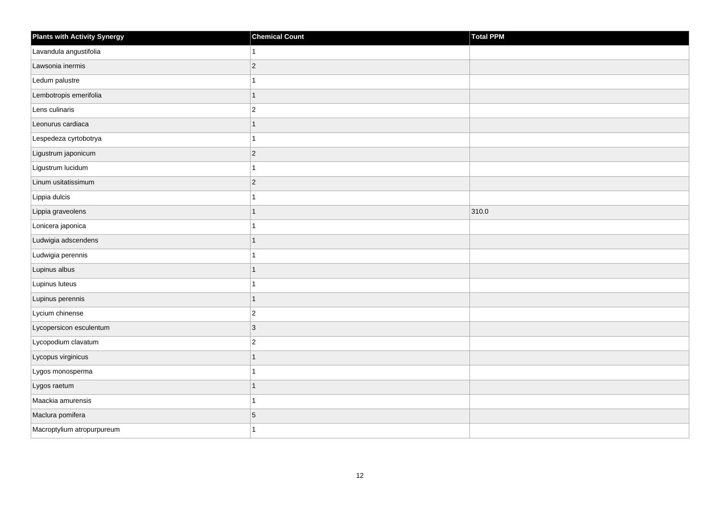| <b>Plants with Activity Synergy</b> | <b>Chemical Count</b> | Total PPM |
|-------------------------------------|-----------------------|-----------|
| Lavandula angustifolia              | 1                     |           |
| Lawsonia inermis                    | $ 2\rangle$           |           |
| Ledum palustre                      | 1                     |           |
| Lembotropis emerifolia              | $\overline{1}$        |           |
| Lens culinaris                      | $ 2\rangle$           |           |
| Leonurus cardiaca                   | $\mathbf{1}$          |           |
| Lespedeza cyrtobotrya               | $\mathbf{1}$          |           |
| Ligustrum japonicum                 | $ 2\rangle$           |           |
| Ligustrum lucidum                   | $\mathbf{1}$          |           |
| Linum usitatissimum                 | $ 2\rangle$           |           |
| Lippia dulcis                       | 1                     |           |
| Lippia graveolens                   | $\mathbf{1}$          | 310.0     |
| Lonicera japonica                   | $\mathbf{1}$          |           |
| Ludwigia adscendens                 | $\mathbf{1}$          |           |
| Ludwigia perennis                   | 1                     |           |
| Lupinus albus                       | $\mathbf{1}$          |           |
| Lupinus luteus                      | 1                     |           |
| Lupinus perennis                    | 1                     |           |
| Lycium chinense                     | $ 2\rangle$           |           |
| Lycopersicon esculentum             | 3                     |           |
| Lycopodium clavatum                 | $\overline{2}$        |           |
| Lycopus virginicus                  | $\mathbf{1}$          |           |
| Lygos monosperma                    | 1                     |           |
| Lygos raetum                        | $\mathbf{1}$          |           |
| Maackia amurensis                   | $\mathbf{1}$          |           |
| Maclura pomifera                    | $\,$ 5 $\,$           |           |
| Macroptylium atropurpureum          | 1                     |           |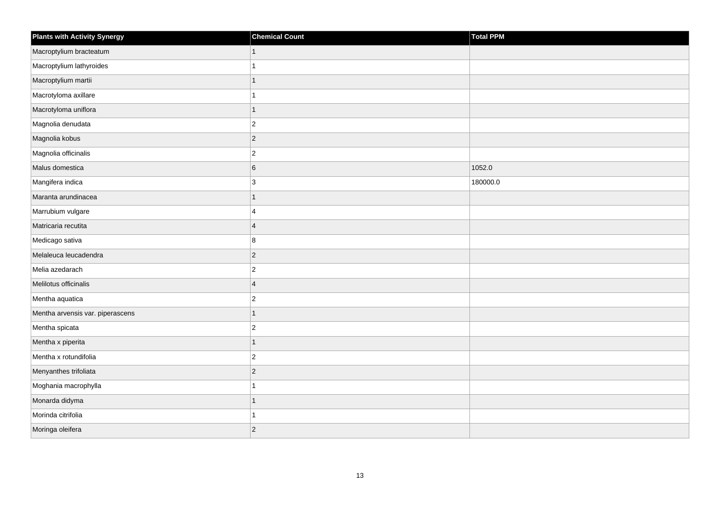| <b>Plants with Activity Synergy</b> | <b>Chemical Count</b> | <b>Total PPM</b> |
|-------------------------------------|-----------------------|------------------|
| Macroptylium bracteatum             | $\mathbf{1}$          |                  |
| Macroptylium lathyroides            | 1                     |                  |
| Macroptylium martii                 | $\overline{1}$        |                  |
| Macrotyloma axillare                | 1                     |                  |
| Macrotyloma uniflora                | $\overline{1}$        |                  |
| Magnolia denudata                   | $\overline{c}$        |                  |
| Magnolia kobus                      | $\overline{c}$        |                  |
| Magnolia officinalis                | $\overline{2}$        |                  |
| Malus domestica                     | 6                     | 1052.0           |
| Mangifera indica                    | 3                     | 180000.0         |
| Maranta arundinacea                 | $\overline{1}$        |                  |
| Marrubium vulgare                   | 4                     |                  |
| Matricaria recutita                 | $\overline{4}$        |                  |
| Medicago sativa                     | 8                     |                  |
| Melaleuca leucadendra               | $\overline{c}$        |                  |
| Melia azedarach                     | $\boldsymbol{2}$      |                  |
| Melilotus officinalis               | $\overline{4}$        |                  |
| Mentha aquatica                     | $\overline{2}$        |                  |
| Mentha arvensis var. piperascens    | $\overline{1}$        |                  |
| Mentha spicata                      | $\overline{2}$        |                  |
| Mentha x piperita                   | $\overline{1}$        |                  |
| Mentha x rotundifolia               | $\boldsymbol{2}$      |                  |
| Menyanthes trifoliata               | $\overline{c}$        |                  |
| Moghania macrophylla                | 1                     |                  |
| Monarda didyma                      | $\overline{1}$        |                  |
| Morinda citrifolia                  | 1                     |                  |
| Moringa oleifera                    | $\overline{2}$        |                  |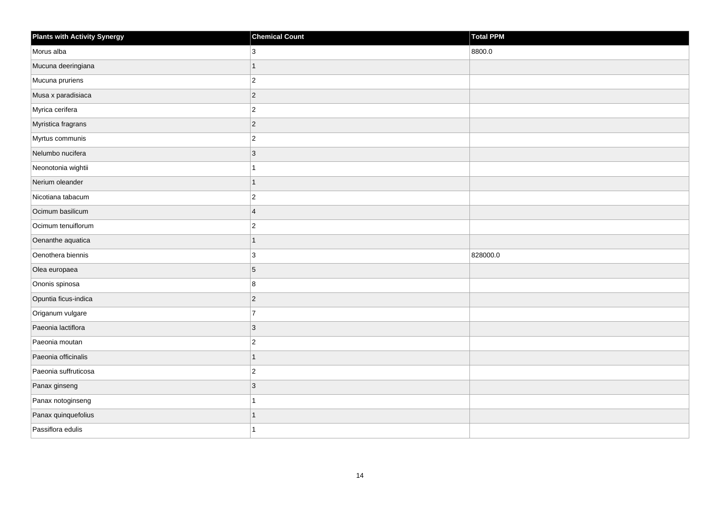| <b>Plants with Activity Synergy</b> | <b>Chemical Count</b> | Total PPM |
|-------------------------------------|-----------------------|-----------|
| Morus alba                          | 3                     | 8800.0    |
| Mucuna deeringiana                  | 1                     |           |
| Mucuna pruriens                     | $\overline{c}$        |           |
| Musa x paradisiaca                  | $\overline{2}$        |           |
| Myrica cerifera                     | $\overline{c}$        |           |
| Myristica fragrans                  | $ 2\rangle$           |           |
| Myrtus communis                     | $\overline{2}$        |           |
| Nelumbo nucifera                    | 3                     |           |
| Neonotonia wightii                  |                       |           |
| Nerium oleander                     | $\overline{1}$        |           |
| Nicotiana tabacum                   | $\overline{c}$        |           |
| Ocimum basilicum                    | $\overline{4}$        |           |
| Ocimum tenuiflorum                  | $\overline{c}$        |           |
| Oenanthe aquatica                   | $\overline{1}$        |           |
| Oenothera biennis                   | 3                     | 828000.0  |
| Olea europaea                       | 5                     |           |
| Ononis spinosa                      | 8                     |           |
| Opuntia ficus-indica                | $\overline{2}$        |           |
| Origanum vulgare                    | $\overline{7}$        |           |
| Paeonia lactiflora                  | 3                     |           |
| Paeonia moutan                      | $\overline{2}$        |           |
| Paeonia officinalis                 | $\overline{1}$        |           |
| Paeonia suffruticosa                | $\overline{c}$        |           |
| Panax ginseng                       | $\overline{3}$        |           |
| Panax notoginseng                   | 1                     |           |
| Panax quinquefolius                 | 1                     |           |
| Passiflora edulis                   |                       |           |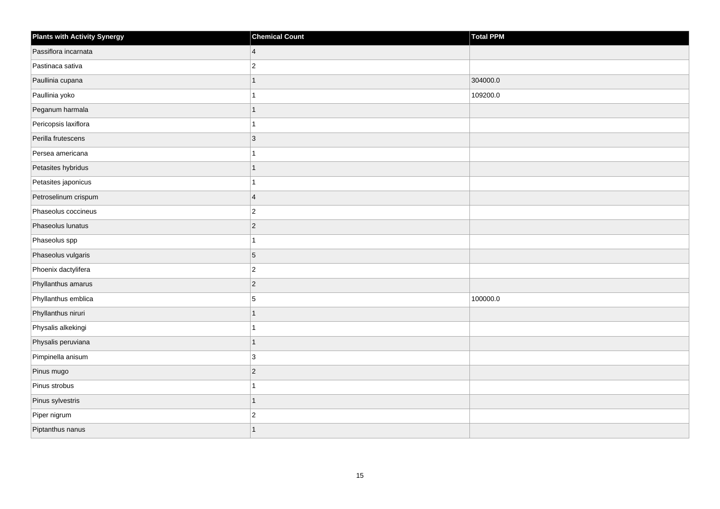| <b>Plants with Activity Synergy</b> | <b>Chemical Count</b> | Total PPM |
|-------------------------------------|-----------------------|-----------|
| Passiflora incarnata                | $\overline{4}$        |           |
| Pastinaca sativa                    | $\overline{2}$        |           |
| Paullinia cupana                    |                       | 304000.0  |
| Paullinia yoko                      |                       | 109200.0  |
| Peganum harmala                     | 1                     |           |
| Pericopsis laxiflora                |                       |           |
| Perilla frutescens                  | $\overline{3}$        |           |
| Persea americana                    |                       |           |
| Petasites hybridus                  | 1                     |           |
| Petasites japonicus                 |                       |           |
| Petroselinum crispum                | $\overline{4}$        |           |
| Phaseolus coccineus                 | $\overline{c}$        |           |
| Phaseolus lunatus                   | $\overline{2}$        |           |
| Phaseolus spp                       |                       |           |
| Phaseolus vulgaris                  | 5                     |           |
| Phoenix dactylifera                 | $\overline{2}$        |           |
| Phyllanthus amarus                  | $\overline{c}$        |           |
| Phyllanthus emblica                 | 5                     | 100000.0  |
| Phyllanthus niruri                  | $\overline{1}$        |           |
| Physalis alkekingi                  |                       |           |
| Physalis peruviana                  | 1                     |           |
| Pimpinella anisum                   | $\mathbf{3}$          |           |
| Pinus mugo                          | $\overline{2}$        |           |
| Pinus strobus                       |                       |           |
| Pinus sylvestris                    | $\overline{1}$        |           |
| Piper nigrum                        | $\overline{c}$        |           |
| Piptanthus nanus                    |                       |           |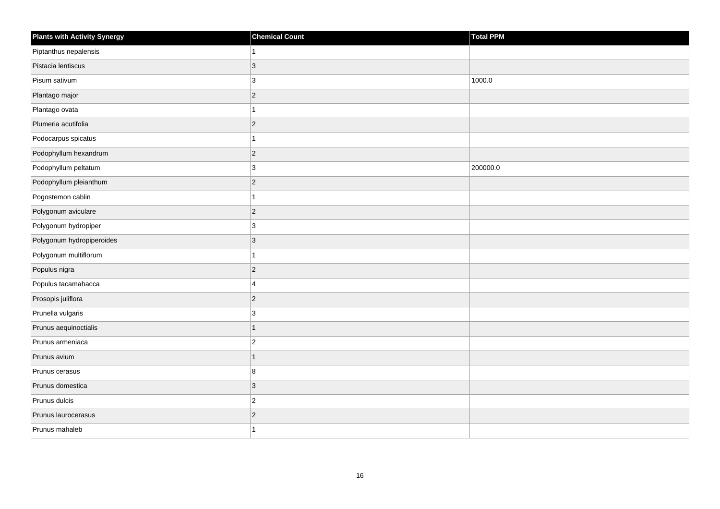| <b>Plants with Activity Synergy</b> | <b>Chemical Count</b> | <b>Total PPM</b> |
|-------------------------------------|-----------------------|------------------|
| Piptanthus nepalensis               |                       |                  |
| Pistacia lentiscus                  | 3                     |                  |
| Pisum sativum                       | 3                     | 1000.0           |
| Plantago major                      | $\overline{2}$        |                  |
| Plantago ovata                      |                       |                  |
| Plumeria acutifolia                 | $\overline{2}$        |                  |
| Podocarpus spicatus                 |                       |                  |
| Podophyllum hexandrum               | $\overline{2}$        |                  |
| Podophyllum peltatum                | $\mathbf{3}$          | 200000.0         |
| Podophyllum pleianthum              | $\overline{2}$        |                  |
| Pogostemon cablin                   |                       |                  |
| Polygonum aviculare                 | $\vert$ 2             |                  |
| Polygonum hydropiper                | $\mathbf{3}$          |                  |
| Polygonum hydropiperoides           | 3                     |                  |
| Polygonum multiflorum               |                       |                  |
| Populus nigra                       | $\overline{2}$        |                  |
| Populus tacamahacca                 | 4                     |                  |
| Prosopis juliflora                  | $\overline{2}$        |                  |
| Prunella vulgaris                   | 3                     |                  |
| Prunus aequinoctialis               | 1                     |                  |
| Prunus armeniaca                    | $\overline{c}$        |                  |
| Prunus avium                        | $\overline{1}$        |                  |
| Prunus cerasus                      | 8                     |                  |
| Prunus domestica                    | 3                     |                  |
| Prunus dulcis                       | $\overline{c}$        |                  |
| Prunus laurocerasus                 | $\overline{a}$        |                  |
| Prunus mahaleb                      |                       |                  |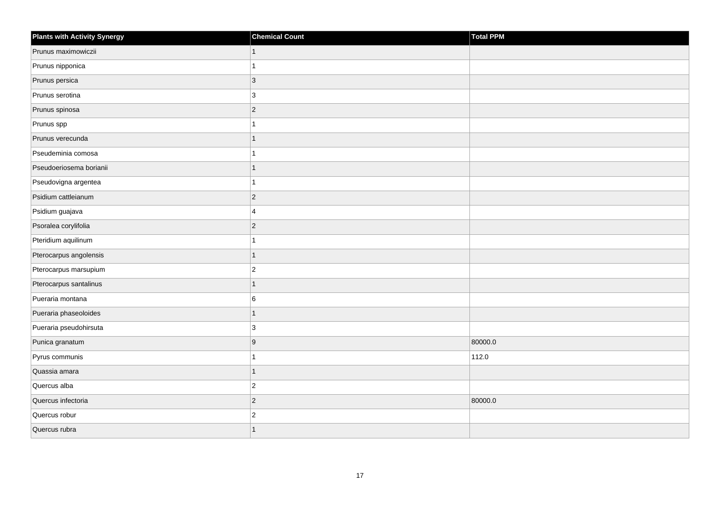| <b>Plants with Activity Synergy</b> | <b>Chemical Count</b>   | Total PPM |
|-------------------------------------|-------------------------|-----------|
| Prunus maximowiczii                 | $\mathbf{1}$            |           |
| Prunus nipponica                    | 1                       |           |
| Prunus persica                      | $\sqrt{3}$              |           |
| Prunus serotina                     | 3                       |           |
| Prunus spinosa                      | $\overline{c}$          |           |
| Prunus spp                          | 1                       |           |
| Prunus verecunda                    | $\mathbf{1}$            |           |
| Pseudeminia comosa                  | 1                       |           |
| Pseudoeriosema borianii             | $\overline{1}$          |           |
| Pseudovigna argentea                | 1                       |           |
| Psidium cattleianum                 | $\overline{c}$          |           |
| Psidium guajava                     | 4                       |           |
| Psoralea corylifolia                | $\overline{c}$          |           |
| Pteridium aquilinum                 | 1                       |           |
| Pterocarpus angolensis              | $\mathbf{1}$            |           |
| Pterocarpus marsupium               | $\boldsymbol{2}$        |           |
| Pterocarpus santalinus              | $\overline{1}$          |           |
| Pueraria montana                    | 6                       |           |
| Pueraria phaseoloides               | $\overline{1}$          |           |
| Pueraria pseudohirsuta              | 3                       |           |
| Punica granatum                     | 9                       | 80000.0   |
| Pyrus communis                      | 1                       | 112.0     |
| Quassia amara                       | $\overline{1}$          |           |
| Quercus alba                        | $\overline{c}$          |           |
| Quercus infectoria                  | $\overline{c}$          | 80000.0   |
| Quercus robur                       | $\overline{\mathbf{c}}$ |           |
| Quercus rubra                       | $\overline{1}$          |           |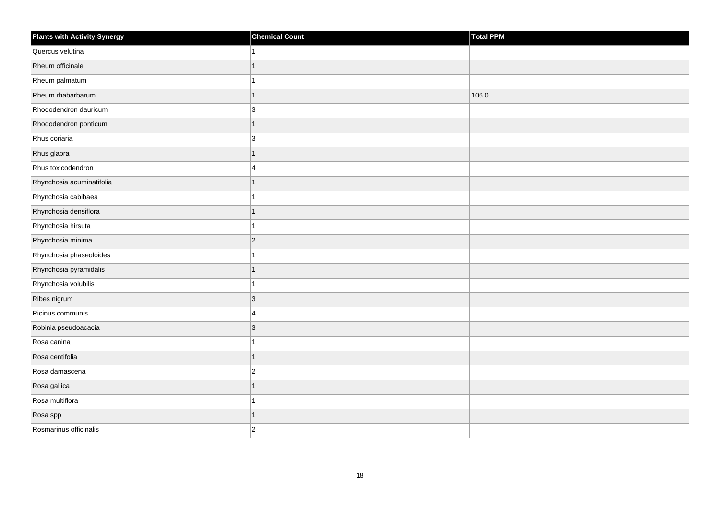| <b>Plants with Activity Synergy</b> | <b>Chemical Count</b> | Total PPM |
|-------------------------------------|-----------------------|-----------|
| Quercus velutina                    |                       |           |
| Rheum officinale                    | 1                     |           |
| Rheum palmatum                      |                       |           |
| Rheum rhabarbarum                   | 1                     | 106.0     |
| Rhododendron dauricum               | 3                     |           |
| Rhododendron ponticum               | 1                     |           |
| Rhus coriaria                       | 3                     |           |
| Rhus glabra                         | 1                     |           |
| Rhus toxicodendron                  | 4                     |           |
| Rhynchosia acuminatifolia           | 1                     |           |
| Rhynchosia cabibaea                 |                       |           |
| Rhynchosia densiflora               |                       |           |
| Rhynchosia hirsuta                  | 1                     |           |
| Rhynchosia minima                   | $\overline{2}$        |           |
| Rhynchosia phaseoloides             |                       |           |
| Rhynchosia pyramidalis              | 1                     |           |
| Rhynchosia volubilis                |                       |           |
| Ribes nigrum                        | $\overline{3}$        |           |
| Ricinus communis                    | $\overline{4}$        |           |
| Robinia pseudoacacia                | 3                     |           |
| Rosa canina                         |                       |           |
| Rosa centifolia                     | $\overline{1}$        |           |
| Rosa damascena                      | $\overline{2}$        |           |
| Rosa gallica                        |                       |           |
| Rosa multiflora                     | 1                     |           |
| Rosa spp                            | 1                     |           |
| Rosmarinus officinalis              | $\overline{2}$        |           |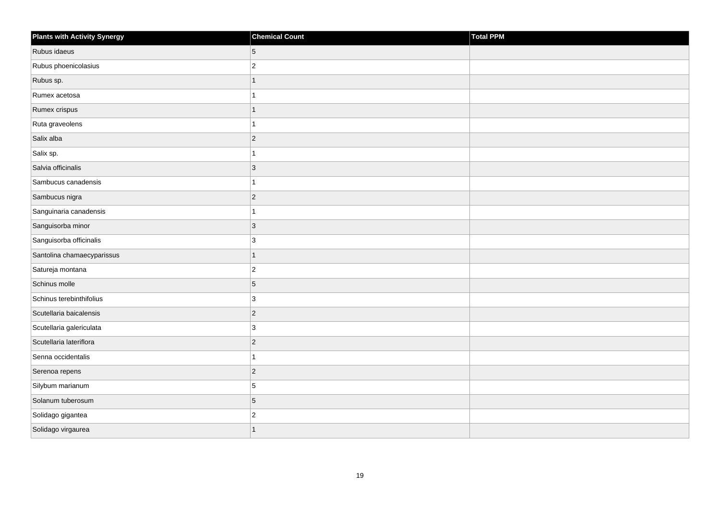| Plants with Activity Synergy | <b>Chemical Count</b> | Total PPM |
|------------------------------|-----------------------|-----------|
| Rubus idaeus                 | 5                     |           |
| Rubus phoenicolasius         | $ 2\rangle$           |           |
| Rubus sp.                    | $\overline{1}$        |           |
| Rumex acetosa                | 1                     |           |
| Rumex crispus                | $\mathbf{1}$          |           |
| Ruta graveolens              | 1                     |           |
| Salix alba                   | 2                     |           |
| Salix sp.                    | 1                     |           |
| Salvia officinalis           | $ 3\rangle$           |           |
| Sambucus canadensis          | $\mathbf{1}$          |           |
| Sambucus nigra               | $ 2\rangle$           |           |
| Sanguinaria canadensis       | $\mathbf{1}$          |           |
| Sanguisorba minor            | $ 3\rangle$           |           |
| Sanguisorba officinalis      | 3                     |           |
| Santolina chamaecyparissus   | 1                     |           |
| Satureja montana             | $ 2\rangle$           |           |
| Schinus molle                | 5                     |           |
| Schinus terebinthifolius     | 3                     |           |
| Scutellaria baicalensis      | $ 2\rangle$           |           |
| Scutellaria galericulata     | 3                     |           |
| Scutellaria lateriflora      | $ 2\rangle$           |           |
| Senna occidentalis           | $\mathbf{1}$          |           |
| Serenoa repens               | $ 2\rangle$           |           |
| Silybum marianum             | 5                     |           |
| Solanum tuberosum            | $\overline{5}$        |           |
| Solidago gigantea            | $ 2\rangle$           |           |
| Solidago virgaurea           | $\mathbf{1}$          |           |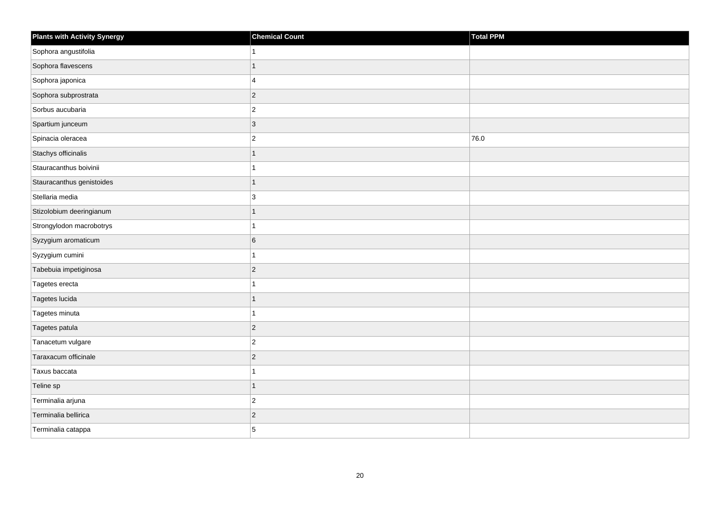| <b>Plants with Activity Synergy</b> | <b>Chemical Count</b> | Total PPM |
|-------------------------------------|-----------------------|-----------|
| Sophora angustifolia                |                       |           |
| Sophora flavescens                  | 1                     |           |
| Sophora japonica                    | 4                     |           |
| Sophora subprostrata                | $\overline{2}$        |           |
| Sorbus aucubaria                    | $\overline{2}$        |           |
| Spartium junceum                    | 3                     |           |
| Spinacia oleracea                   | $\overline{2}$        | 76.0      |
| Stachys officinalis                 | 1                     |           |
| Stauracanthus boivinii              |                       |           |
| Stauracanthus genistoides           | 1                     |           |
| Stellaria media                     | 3                     |           |
| Stizolobium deeringianum            |                       |           |
| Strongylodon macrobotrys            | 1                     |           |
| Syzygium aromaticum                 | 6                     |           |
| Syzygium cumini                     |                       |           |
| Tabebuia impetiginosa               | $\overline{2}$        |           |
| Tagetes erecta                      |                       |           |
| Tagetes lucida                      |                       |           |
| Tagetes minuta                      | 1                     |           |
| Tagetes patula                      | $\overline{2}$        |           |
| Tanacetum vulgare                   | $\overline{2}$        |           |
| Taraxacum officinale                | $\overline{c}$        |           |
| Taxus baccata                       |                       |           |
| Teline sp                           | 1                     |           |
| Terminalia arjuna                   | $\overline{c}$        |           |
| Terminalia bellirica                | $\overline{c}$        |           |
| Terminalia catappa                  | 5                     |           |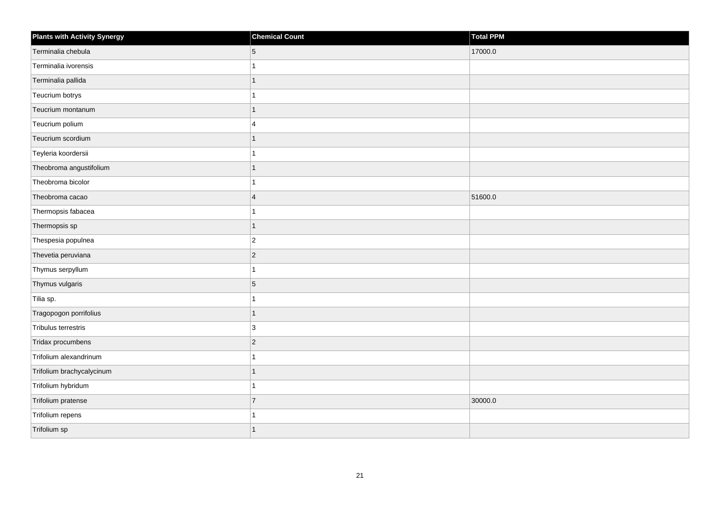| <b>Plants with Activity Synergy</b> | <b>Chemical Count</b> | <b>Total PPM</b> |
|-------------------------------------|-----------------------|------------------|
| Terminalia chebula                  | 5                     | 17000.0          |
| Terminalia ivorensis                | 1                     |                  |
| Terminalia pallida                  | $\mathbf{1}$          |                  |
| Teucrium botrys                     | 1                     |                  |
| Teucrium montanum                   | 1                     |                  |
| Teucrium polium                     | $\overline{4}$        |                  |
| Teucrium scordium                   | 1                     |                  |
| Teyleria koordersii                 | 1                     |                  |
| Theobroma angustifolium             | $\overline{1}$        |                  |
| Theobroma bicolor                   | $\mathbf{1}$          |                  |
| Theobroma cacao                     | $\overline{4}$        | 51600.0          |
| Thermopsis fabacea                  | $\mathbf{1}$          |                  |
| Thermopsis sp                       | $\overline{1}$        |                  |
| Thespesia populnea                  | $ 2\rangle$           |                  |
| Thevetia peruviana                  | $ 2\rangle$           |                  |
| Thymus serpyllum                    | $\mathbf{1}$          |                  |
| Thymus vulgaris                     | $\overline{5}$        |                  |
| Tilia sp.                           | 1                     |                  |
| Tragopogon porrifolius              | $\mathbf{1}$          |                  |
| Tribulus terrestris                 | 3                     |                  |
| Tridax procumbens                   | $ 2\rangle$           |                  |
| Trifolium alexandrinum              | $\overline{1}$        |                  |
| Trifolium brachycalycinum           | $\mathbf{1}$          |                  |
| Trifolium hybridum                  | 1                     |                  |
| Trifolium pratense                  | 7                     | 30000.0          |
| Trifolium repens                    | 1                     |                  |
| Trifolium sp                        | 1                     |                  |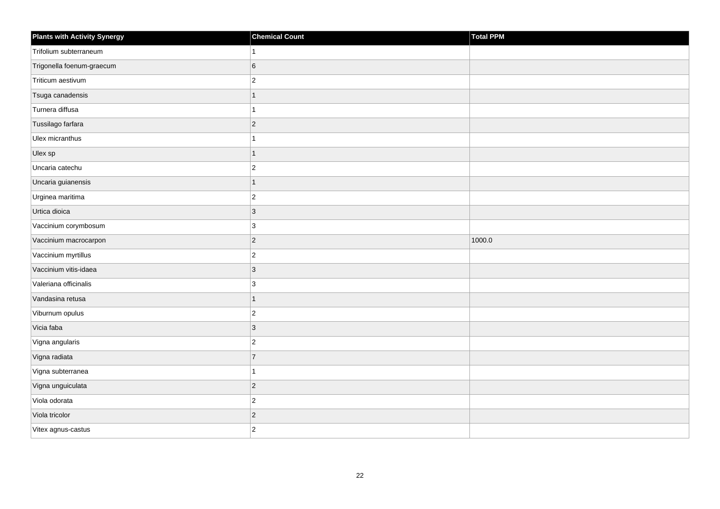| <b>Plants with Activity Synergy</b> | <b>Chemical Count</b> | Total PPM |
|-------------------------------------|-----------------------|-----------|
| Trifolium subterraneum              |                       |           |
| Trigonella foenum-graecum           | 6                     |           |
| Triticum aestivum                   | $\overline{a}$        |           |
| Tsuga canadensis                    | 1                     |           |
| Turnera diffusa                     |                       |           |
| Tussilago farfara                   | $\overline{2}$        |           |
| Ulex micranthus                     |                       |           |
| Ulex sp                             | 1                     |           |
| Uncaria catechu                     | $\overline{2}$        |           |
| Uncaria guianensis                  | $\overline{1}$        |           |
| Urginea maritima                    | $\overline{c}$        |           |
| Urtica dioica                       | 3                     |           |
| Vaccinium corymbosum                | 3                     |           |
| Vaccinium macrocarpon               | $\overline{2}$        | 1000.0    |
| Vaccinium myrtillus                 | $\overline{2}$        |           |
| Vaccinium vitis-idaea               | $\overline{3}$        |           |
| Valeriana officinalis               | 3                     |           |
| Vandasina retusa                    | 1                     |           |
| Viburnum opulus                     | $\overline{c}$        |           |
| Vicia faba                          | 3                     |           |
| Vigna angularis                     | $\overline{2}$        |           |
| Vigna radiata                       | $\overline{7}$        |           |
| Vigna subterranea                   |                       |           |
| Vigna unguiculata                   | $ 2\rangle$           |           |
| Viola odorata                       | $\overline{c}$        |           |
| Viola tricolor                      | $\overline{a}$        |           |
| Vitex agnus-castus                  | $\overline{2}$        |           |